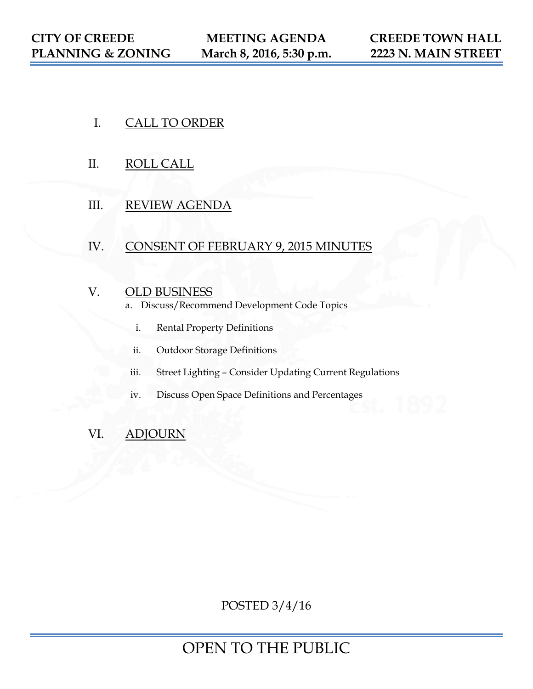- I. CALL TO ORDER
- II. ROLL CALL
- III. REVIEW AGENDA

# IV. CONSENT OF FEBRUARY 9, 2015 MINUTES

# V. OLD BUSINESS

- a. Discuss/Recommend Development Code Topics
	- i. Rental Property Definitions
	- ii. Outdoor Storage Definitions
- iii. Street Lighting Consider Updating Current Regulations
- iv. Discuss Open Space Definitions and Percentages

# VI. ADJOURN

POSTED 3/4/16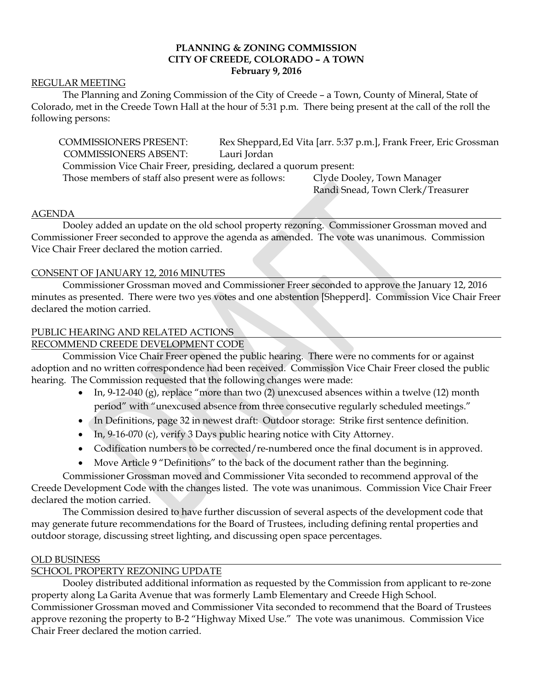# **PLANNING & ZONING COMMISSION CITY OF CREEDE, COLORADO – A TOWN February 9, 2016**

#### REGULAR MEETING

The Planning and Zoning Commission of the City of Creede – a Town, County of Mineral, State of Colorado, met in the Creede Town Hall at the hour of 5:31 p.m. There being present at the call of the roll the following persons:

COMMISSIONERS PRESENT: Rex Sheppard,Ed Vita [arr. 5:37 p.m.], Frank Freer, Eric Grossman COMMISSIONERS ABSENT: Lauri Jordan Commission Vice Chair Freer, presiding, declared a quorum present: Those members of staff also present were as follows: Clyde Dooley, Town Manager

Randi Snead, Town Clerk/Treasurer

#### AGENDA

Dooley added an update on the old school property rezoning. Commissioner Grossman moved and Commissioner Freer seconded to approve the agenda as amended. The vote was unanimous. Commission Vice Chair Freer declared the motion carried.

#### CONSENT OF JANUARY 12, 2016 MINUTES

Commissioner Grossman moved and Commissioner Freer seconded to approve the January 12, 2016 minutes as presented. There were two yes votes and one abstention [Shepperd]. Commission Vice Chair Freer declared the motion carried.

### PUBLIC HEARING AND RELATED ACTIONS

# RECOMMEND CREEDE DEVELOPMENT CODE

Commission Vice Chair Freer opened the public hearing. There were no comments for or against adoption and no written correspondence had been received. Commission Vice Chair Freer closed the public hearing. The Commission requested that the following changes were made:

- In, 9-12-040 (g), replace "more than two (2) unexcused absences within a twelve (12) month period" with "unexcused absence from three consecutive regularly scheduled meetings."
- In Definitions, page 32 in newest draft: Outdoor storage: Strike first sentence definition.
- In, 9-16-070 (c), verify 3 Days public hearing notice with City Attorney.
- Codification numbers to be corrected/re-numbered once the final document is in approved.
- Move Article 9 "Definitions" to the back of the document rather than the beginning.

Commissioner Grossman moved and Commissioner Vita seconded to recommend approval of the Creede Development Code with the changes listed. The vote was unanimous. Commission Vice Chair Freer declared the motion carried.

The Commission desired to have further discussion of several aspects of the development code that may generate future recommendations for the Board of Trustees, including defining rental properties and outdoor storage, discussing street lighting, and discussing open space percentages.

#### OLD BUSINESS

### SCHOOL PROPERTY REZONING UPDATE

Dooley distributed additional information as requested by the Commission from applicant to re-zone property along La Garita Avenue that was formerly Lamb Elementary and Creede High School. Commissioner Grossman moved and Commissioner Vita seconded to recommend that the Board of Trustees approve rezoning the property to B-2 "Highway Mixed Use." The vote was unanimous. Commission Vice Chair Freer declared the motion carried.